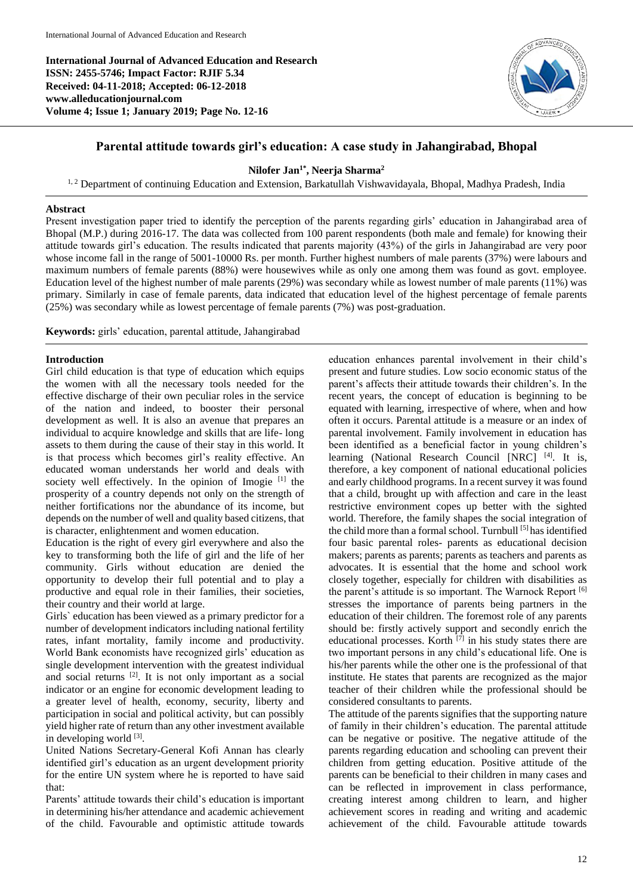**International Journal of Advanced Education and Research ISSN: 2455-5746; Impact Factor: RJIF 5.34 Received: 04-11-2018; Accepted: 06-12-2018 www.alleducationjournal.com Volume 4; Issue 1; January 2019; Page No. 12-16**



# **Parental attitude towards girl's education: A case study in Jahangirabad, Bhopal**

**Nilofer Jan1\* , Neerja Sharma<sup>2</sup>**

<sup>1, 2</sup> Department of continuing Education and Extension, Barkatullah Vishwavidayala, Bhopal, Madhya Pradesh, India

### **Abstract**

Present investigation paper tried to identify the perception of the parents regarding girls' education in Jahangirabad area of Bhopal (M.P.) during 2016-17. The data was collected from 100 parent respondents (both male and female) for knowing their attitude towards girl's education. The results indicated that parents majority (43%) of the girls in Jahangirabad are very poor whose income fall in the range of 5001-10000 Rs. per month. Further highest numbers of male parents (37%) were labours and maximum numbers of female parents (88%) were housewives while as only one among them was found as govt. employee. Education level of the highest number of male parents (29%) was secondary while as lowest number of male parents (11%) was primary. Similarly in case of female parents, data indicated that education level of the highest percentage of female parents (25%) was secondary while as lowest percentage of female parents (7%) was post-graduation.

**Keywords:** girls' education, parental attitude, Jahangirabad

### **Introduction**

Girl child education is that type of education which equips the women with all the necessary tools needed for the effective discharge of their own peculiar roles in the service of the nation and indeed, to booster their personal development as well. It is also an avenue that prepares an individual to acquire knowledge and skills that are life- long assets to them during the cause of their stay in this world. It is that process which becomes girl's reality effective. An educated woman understands her world and deals with society well effectively. In the opinion of Imogie <sup>[1]</sup> the prosperity of a country depends not only on the strength of neither fortifications nor the abundance of its income, but depends on the number of well and quality based citizens, that is character, enlightenment and women education.

Education is the right of every girl everywhere and also the key to transforming both the life of girl and the life of her community. Girls without education are denied the opportunity to develop their full potential and to play a productive and equal role in their families, their societies, their country and their world at large.

Girls` education has been viewed as a primary predictor for a number of development indicators including national fertility rates, infant mortality, family income and productivity. World Bank economists have recognized girls' education as single development intervention with the greatest individual and social returns [2]. It is not only important as a social indicator or an engine for economic development leading to a greater level of health, economy, security, liberty and participation in social and political activity, but can possibly yield higher rate of return than any other investment available in developing world [3].

United Nations Secretary-General Kofi Annan has clearly identified girl's education as an urgent development priority for the entire UN system where he is reported to have said that:

Parents' attitude towards their child's education is important in determining his/her attendance and academic achievement of the child. Favourable and optimistic attitude towards

education enhances parental involvement in their child's present and future studies. Low socio economic status of the parent's affects their attitude towards their children's. In the recent years, the concept of education is beginning to be equated with learning, irrespective of where, when and how often it occurs. Parental attitude is a measure or an index of parental involvement. Family involvement in education has been identified as a beneficial factor in young children's learning (National Research Council [NRC] [4]. It is, therefore, a key component of national educational policies and early childhood programs. In a recent survey it was found that a child, brought up with affection and care in the least restrictive environment copes up better with the sighted world. Therefore, the family shapes the social integration of the child more than a formal school. Turnbull [5] has identified four basic parental roles- parents as educational decision makers; parents as parents; parents as teachers and parents as advocates. It is essential that the home and school work closely together, especially for children with disabilities as the parent's attitude is so important. The Warnock Report [6] stresses the importance of parents being partners in the education of their children. The foremost role of any parents should be: firstly actively support and secondly enrich the educational processes. Korth  $\overline{[7]}$  in his study states there are two important persons in any child's educational life. One is his/her parents while the other one is the professional of that institute. He states that parents are recognized as the major teacher of their children while the professional should be considered consultants to parents.

The attitude of the parents signifies that the supporting nature of family in their children's education. The parental attitude can be negative or positive. The negative attitude of the parents regarding education and schooling can prevent their children from getting education. Positive attitude of the parents can be beneficial to their children in many cases and can be reflected in improvement in class performance, creating interest among children to learn, and higher achievement scores in reading and writing and academic achievement of the child. Favourable attitude towards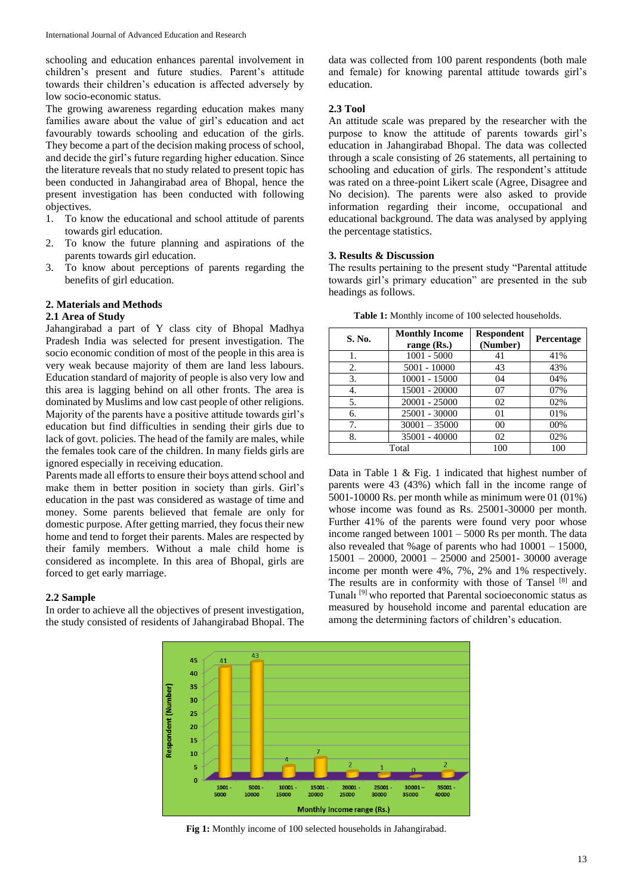schooling and education enhances parental involvement in children's present and future studies. Parent's attitude towards their children's education is affected adversely by low socio-economic status.

The growing awareness regarding education makes many families aware about the value of girl's education and act favourably towards schooling and education of the girls. They become a part of the decision making process of school, and decide the girl's future regarding higher education. Since the literature reveals that no study related to present topic has been conducted in Jahangirabad area of Bhopal, hence the present investigation has been conducted with following objectives.

- 1. To know the educational and school attitude of parents towards girl education.
- 2. To know the future planning and aspirations of the parents towards girl education.
- 3. To know about perceptions of parents regarding the benefits of girl education.

### **2. Materials and Methods**

#### **2.1 Area of Study**

Jahangirabad a part of Y class city of Bhopal Madhya Pradesh India was selected for present investigation. The socio economic condition of most of the people in this area is very weak because majority of them are land less labours. Education standard of majority of people is also very low and this area is lagging behind on all other fronts. The area is dominated by Muslims and low cast people of other religions. Majority of the parents have a positive attitude towards girl's education but find difficulties in sending their girls due to lack of govt. policies. The head of the family are males, while the females took care of the children. In many fields girls are ignored especially in receiving education.

Parents made all efforts to ensure their boys attend school and make them in better position in society than girls. Girl's education in the past was considered as wastage of time and money. Some parents believed that female are only for domestic purpose. After getting married, they focus their new home and tend to forget their parents. Males are respected by their family members. Without a male child home is considered as incomplete. In this area of Bhopal, girls are forced to get early marriage.

#### **2.2 Sample**

In order to achieve all the objectives of present investigation, the study consisted of residents of Jahangirabad Bhopal. The data was collected from 100 parent respondents (both male and female) for knowing parental attitude towards girl's education.

# **2.3 Tool**

An attitude scale was prepared by the researcher with the purpose to know the attitude of parents towards girl's education in Jahangirabad Bhopal. The data was collected through a scale consisting of 26 statements, all pertaining to schooling and education of girls. The respondent's attitude was rated on a three-point Likert scale (Agree, Disagree and No decision). The parents were also asked to provide information regarding their income, occupational and educational background. The data was analysed by applying the percentage statistics.

### **3. Results & Discussion**

The results pertaining to the present study "Parental attitude towards girl's primary education" are presented in the sub headings as follows.

| S. No. | <b>Monthly Income</b><br>range $(Rs.)$ | <b>Respondent</b><br>(Number) | <b>Percentage</b> |
|--------|----------------------------------------|-------------------------------|-------------------|
| 1.     | $1001 - 5000$                          | 41                            | 41%               |
| 2.     | $5001 - 10000$                         | 43                            | 43%               |
| 3.     | 10001 - 15000                          | 04                            | 04%               |
| 4.     | 15001 - 20000                          | 07                            | 07%               |
| 5.     | 20001 - 25000                          | 02                            | 02%               |
| 6.     | 25001 - 30000                          | 0 <sub>1</sub>                | 01%               |
| 7.     | $30001 - 35000$                        | 00                            | 00%               |
| 8.     | 35001 - 40000                          | 02                            | 02%               |
|        | Total                                  | 100                           | 100               |

**Table 1:** Monthly income of 100 selected households.

Data in Table 1 & Fig. 1 indicated that highest number of parents were 43 (43%) which fall in the income range of 5001-10000 Rs. per month while as minimum were 01 (01%) whose income was found as Rs. 25001-30000 per month. Further 41% of the parents were found very poor whose income ranged between 1001 – 5000 Rs per month. The data also revealed that %age of parents who had 10001 – 15000, 15001 – 20000, 20001 – 25000 and 25001- 30000 average income per month were 4%, 7%, 2% and 1% respectively. The results are in conformity with those of Tansel [8] and Tunalı [9] who reported that Parental socioeconomic status as measured by household income and parental education are among the determining factors of children's education.



**Fig 1:** Monthly income of 100 selected households in Jahangirabad.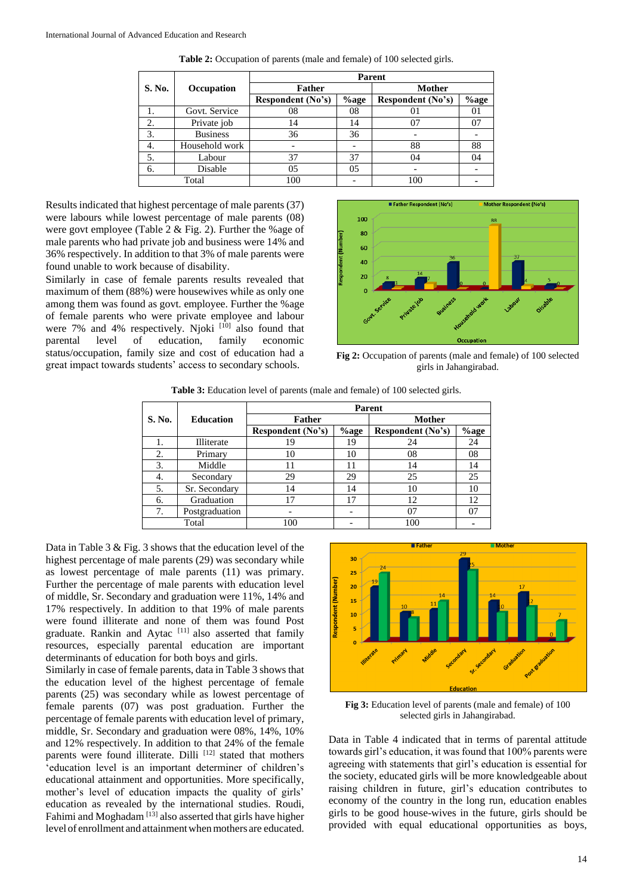|        |                 | <b>Parent</b>     |         |                   |      |  |  |  |
|--------|-----------------|-------------------|---------|-------------------|------|--|--|--|
| S. No. | Occupation      | <b>Father</b>     |         | <b>Mother</b>     |      |  |  |  |
|        |                 | Respondent (No's) | $%$ age | Respondent (No's) | %age |  |  |  |
|        | Govt. Service   | 08                | 08      | 01                |      |  |  |  |
| 2.     | Private job     | 14                | 14      | 07                |      |  |  |  |
| 3.     | <b>Business</b> | 36                | 36      |                   |      |  |  |  |
| 4.     | Household work  |                   |         | 88                | 88   |  |  |  |
| 5.     | Labour          | 37                | 37      | 04                | 04   |  |  |  |
| 6.     | Disable         | 05                | 05      | -                 |      |  |  |  |
| Total  |                 | 100               |         | 100               |      |  |  |  |

**Table 2:** Occupation of parents (male and female) of 100 selected girls.

Results indicated that highest percentage of male parents (37) were labours while lowest percentage of male parents (08) were govt employee (Table 2 & Fig. 2). Further the %age of male parents who had private job and business were 14% and 36% respectively. In addition to that 3% of male parents were found unable to work because of disability.

Similarly in case of female parents results revealed that maximum of them (88%) were housewives while as only one among them was found as govt. employee. Further the %age of female parents who were private employee and labour were  $7\%$  and  $4\%$  respectively. Njoki  $[10]$  also found that parental level of education, family economic status/occupation, family size and cost of education had a great impact towards students' access to secondary schools.



**Fig 2:** Occupation of parents (male and female) of 100 selected girls in Jahangirabad.

**Table 3:** Education level of parents (male and female) of 100 selected girls.

|        |                  | <b>Parent</b>     |         |                   |      |  |  |  |
|--------|------------------|-------------------|---------|-------------------|------|--|--|--|
| S. No. | <b>Education</b> | <b>Father</b>     |         | <b>Mother</b>     |      |  |  |  |
|        |                  | Respondent (No's) | $%$ age | Respondent (No's) | %age |  |  |  |
|        | Illiterate       | 19                | 19      | 24                | 24   |  |  |  |
| 2.     | Primary          | 10                | 10      | 08                | 08   |  |  |  |
| 3.     | Middle           | 11                |         | 14                | 14   |  |  |  |
| 4.     | Secondary        | 29                | 29      | 25                | 25   |  |  |  |
| 5.     | Sr. Secondary    | 14                | 14      | 10                | 10   |  |  |  |
| 6.     | Graduation       | 17                | 17      | 12                | 12   |  |  |  |
| 7.     | Postgraduation   |                   |         | 07                | 07   |  |  |  |
| Total  |                  | 100               |         | 100               |      |  |  |  |

Data in Table 3 & Fig. 3 shows that the education level of the highest percentage of male parents (29) was secondary while as lowest percentage of male parents (11) was primary. Further the percentage of male parents with education level of middle, Sr. Secondary and graduation were 11%, 14% and 17% respectively. In addition to that 19% of male parents were found illiterate and none of them was found Post graduate. Rankin and Aytac<sup>[11]</sup> also asserted that family resources, especially parental education are important determinants of education for both boys and girls.

Similarly in case of female parents, data in Table 3 shows that the education level of the highest percentage of female parents (25) was secondary while as lowest percentage of female parents (07) was post graduation. Further the percentage of female parents with education level of primary, middle, Sr. Secondary and graduation were 08%, 14%, 10% and 12% respectively. In addition to that 24% of the female parents were found illiterate. Dilli  $[12]$  stated that mothers 'education level is an important determiner of children's educational attainment and opportunities. More specifically, mother's level of education impacts the quality of girls' education as revealed by the international studies. Roudi, Fahimi and Moghadam<sup>[13]</sup> also asserted that girls have higher level of enrollment and attainment when mothers are educated.



**Fig 3:** Education level of parents (male and female) of 100 selected girls in Jahangirabad.

Data in Table 4 indicated that in terms of parental attitude towards girl's education, it was found that 100% parents were agreeing with statements that girl's education is essential for the society, educated girls will be more knowledgeable about raising children in future, girl's education contributes to economy of the country in the long run, education enables girls to be good house-wives in the future, girls should be provided with equal educational opportunities as boys,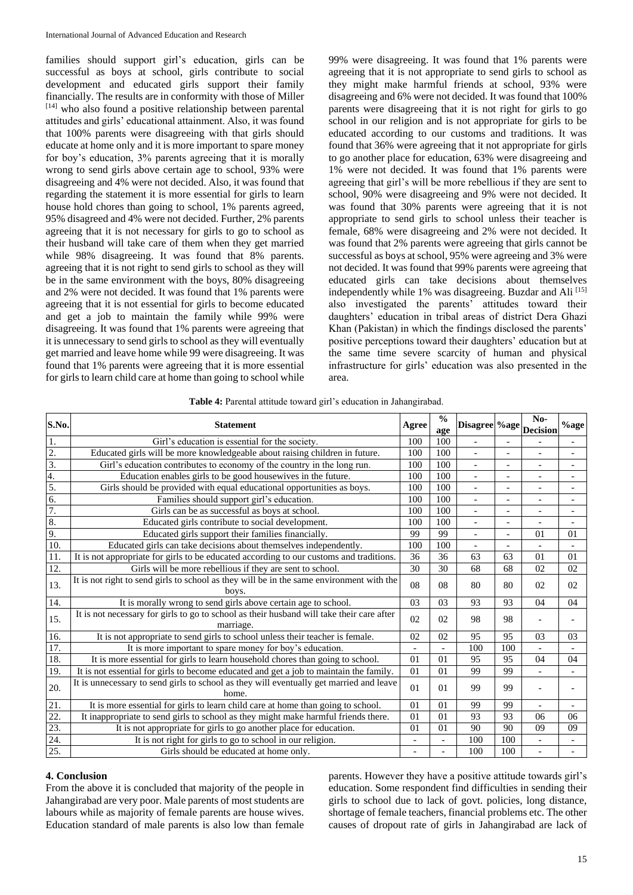families should support girl's education, girls can be successful as boys at school, girls contribute to social development and educated girls support their family financially. The results are in conformity with those of Miller [14] who also found a positive relationship between parental attitudes and girls' educational attainment. Also, it was found that 100% parents were disagreeing with that girls should educate at home only and it is more important to spare money for boy's education, 3% parents agreeing that it is morally wrong to send girls above certain age to school, 93% were disagreeing and 4% were not decided. Also, it was found that regarding the statement it is more essential for girls to learn house hold chores than going to school, 1% parents agreed, 95% disagreed and 4% were not decided. Further, 2% parents agreeing that it is not necessary for girls to go to school as their husband will take care of them when they get married while 98% disagreeing. It was found that 8% parents. agreeing that it is not right to send girls to school as they will be in the same environment with the boys, 80% disagreeing and 2% were not decided. It was found that 1% parents were agreeing that it is not essential for girls to become educated and get a job to maintain the family while 99% were disagreeing. It was found that 1% parents were agreeing that it is unnecessary to send girls to school as they will eventually get married and leave home while 99 were disagreeing. It was found that 1% parents were agreeing that it is more essential for girls to learn child care at home than going to school while

99% were disagreeing. It was found that 1% parents were agreeing that it is not appropriate to send girls to school as they might make harmful friends at school, 93% were disagreeing and 6% were not decided. It was found that 100% parents were disagreeing that it is not right for girls to go school in our religion and is not appropriate for girls to be educated according to our customs and traditions. It was found that 36% were agreeing that it not appropriate for girls to go another place for education, 63% were disagreeing and 1% were not decided. It was found that 1% parents were agreeing that girl's will be more rebellious if they are sent to school, 90% were disagreeing and 9% were not decided. It was found that 30% parents were agreeing that it is not appropriate to send girls to school unless their teacher is female, 68% were disagreeing and 2% were not decided. It was found that 2% parents were agreeing that girls cannot be successful as boys at school, 95% were agreeing and 3% were not decided. It was found that 99% parents were agreeing that educated girls can take decisions about themselves independently while 1% was disagreeing. Buzdar and Ali <a>[15]</a> also investigated the parents' attitudes toward their daughters' education in tribal areas of district Dera Ghazi Khan (Pakistan) in which the findings disclosed the parents' positive perceptions toward their daughters' education but at the same time severe scarcity of human and physical infrastructure for girls' education was also presented in the area.

|  |  | Table 4: Parental attitude toward girl's education in Jahangirabad. |  |  |
|--|--|---------------------------------------------------------------------|--|--|
|  |  |                                                                     |  |  |

| S.No.             | <b>Statement</b>                                                                                       |     | $\frac{0}{0}$<br>age | Disagree %age            |                          | $No-$<br><b>Decision</b> | $%$ age                      |
|-------------------|--------------------------------------------------------------------------------------------------------|-----|----------------------|--------------------------|--------------------------|--------------------------|------------------------------|
| 1.                | Girl's education is essential for the society.                                                         | 100 | 100                  |                          |                          |                          |                              |
| 2.                | Educated girls will be more knowledgeable about raising children in future.                            | 100 | 100                  | $\overline{\phantom{a}}$ | $\overline{a}$           | $\overline{\phantom{0}}$ | $\qquad \qquad -$            |
| $\overline{3}$ .  | Girl's education contributes to economy of the country in the long run.                                | 100 | 100                  | $\overline{a}$           |                          | $\overline{a}$           | $\qquad \qquad \blacksquare$ |
| 4.                | Education enables girls to be good housewives in the future.                                           | 100 | 100                  | $\overline{\phantom{a}}$ | $\overline{a}$           | $\overline{\phantom{a}}$ | $\overline{a}$               |
| 5.                | Girls should be provided with equal educational opportunities as boys.                                 | 100 | 100                  | $\overline{a}$           | $\overline{\phantom{a}}$ | $\overline{\phantom{0}}$ | $\qquad \qquad -$            |
| 6.                | Families should support girl's education.                                                              | 100 | 100                  | $\overline{\phantom{0}}$ | $\overline{a}$           | $\overline{\phantom{0}}$ | $\overline{a}$               |
| 7.                | Girls can be as successful as boys at school.                                                          | 100 | 100                  | $\overline{a}$           |                          | $\overline{a}$           | $\overline{a}$               |
| 8.                | Educated girls contribute to social development.                                                       | 100 | 100                  | $\overline{\phantom{a}}$ | $\overline{\phantom{a}}$ | $\overline{a}$           | $\overline{a}$               |
| 9.                | Educated girls support their families financially.                                                     | 99  | 99                   | $\overline{\phantom{a}}$ | $\overline{a}$           | 01                       | 01                           |
| 10.               | Educated girls can take decisions about themselves independently.                                      | 100 | 100                  | $\overline{a}$           |                          | $\overline{a}$           | $\overline{a}$               |
| 11.               | It is not appropriate for girls to be educated according to our customs and traditions.                | 36  | 36                   | 63                       | 63                       | 01                       | 01                           |
| $\overline{12}$ . | Girls will be more rebellious if they are sent to school.                                              | 30  | 30                   | 68                       | 68                       | 02                       | 02                           |
| 13.               | It is not right to send girls to school as they will be in the same environment with the<br>boys.      | 08  | 08                   | 80                       | 80                       | 02                       | 02                           |
| 14.               | It is morally wrong to send girls above certain age to school.                                         | 03  | 03                   | 93                       | 93                       | 04                       | 04                           |
| 15.               | It is not necessary for girls to go to school as their husband will take their care after<br>marriage. | 02  | 02                   | 98                       | 98                       |                          |                              |
| 16.               | It is not appropriate to send girls to school unless their teacher is female.                          | 02  | 02                   | 95                       | 95                       | 03                       | 03                           |
| 17.               | It is more important to spare money for boy's education.                                               |     |                      | 100                      | 100                      | $\overline{\phantom{0}}$ | $\overline{a}$               |
| 18.               | It is more essential for girls to learn household chores than going to school.                         | 01  | 0 <sub>1</sub>       | 95                       | 95                       | 04                       | 04                           |
| 19.               | It is not essential for girls to become educated and get a job to maintain the family.                 | 01  | 0 <sub>1</sub>       | 99                       | 99                       |                          | $\overline{a}$               |
| 20.               | It is unnecessary to send girls to school as they will eventually get married and leave<br>home.       | 01  | 01                   | 99                       | 99                       |                          |                              |
| 21.               | It is more essential for girls to learn child care at home than going to school.                       | 01  | 01                   | 99                       | 99                       | $\overline{a}$           | $\overline{a}$               |
| $\overline{22}$ . | It inappropriate to send girls to school as they might make harmful friends there.                     | 01  | 01                   | 93                       | 93                       | 06                       | 06                           |
| 23.               | It is not appropriate for girls to go another place for education.                                     | 01  | 01                   | 90                       | 90                       | 09                       | 09                           |
| 24.               | It is not right for girls to go to school in our religion.                                             |     |                      | 100                      | 100                      | $\overline{a}$           |                              |
| 25.               | Girls should be educated at home only.                                                                 |     |                      | 100                      | 100                      |                          |                              |

#### **4. Conclusion**

From the above it is concluded that majority of the people in Jahangirabad are very poor. Male parents of most students are labours while as majority of female parents are house wives. Education standard of male parents is also low than female parents. However they have a positive attitude towards girl's education. Some respondent find difficulties in sending their girls to school due to lack of govt. policies, long distance, shortage of female teachers, financial problems etc. The other causes of dropout rate of girls in Jahangirabad are lack of